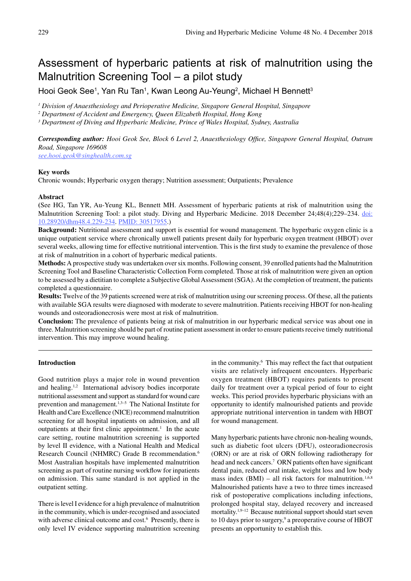# Assessment of hyperbaric patients at risk of malnutrition using the Malnutrition Screening Tool – a pilot study

Hooi Geok See<sup>1</sup>, Yan Ru Tan<sup>1</sup>, Kwan Leong Au-Yeung<sup>2</sup>, Michael H Bennett<sup>3</sup>

*<sup>1</sup> Division of Anaesthesiology and Perioperative Medicine, Singapore General Hospital, Singapore*

*2 Department of Accident and Emergency, Queen Elizabeth Hospital, Hong Kong*

*3 Department of Diving and Hyperbaric Medicine, Prince of Wales Hospital, Sydney, Australia*

*Corresponding author: Hooi Geok See, Block 6 Level 2, Anaesthesiology Office, Singapore General Hospital, Outram Road, Singapore 169608*

*see.hooi.geok@singhealth.com.sg*

## **Key words**

Chronic wounds; Hyperbaric oxygen therapy; Nutrition assessment; Outpatients; Prevalence

#### **Abstract**

**(**See HG, Tan YR, Au-Yeung KL, Bennett MH. Assessment of hyperbaric patients at risk of malnutrition using the Malnutrition Screening Tool: a pilot study. Diving and Hyperbaric Medicine. 2018 December 24;48(4);229-234. doi: 10.28920/dhm48.4.229-234. PMID: 30517955.)

**Background:** Nutritional assessment and support is essential for wound management. The hyperbaric oxygen clinic is a unique outpatient service where chronically unwell patients present daily for hyperbaric oxygen treatment (HBOT) over several weeks, allowing time for effective nutritional intervention. This is the first study to examine the prevalence of those at risk of malnutrition in a cohort of hyperbaric medical patients.

**Methods:** A prospective study was undertaken over six months. Following consent, 39 enrolled patients had the Malnutrition Screening Tool and Baseline Characteristic Collection Form completed. Those at risk of malnutrition were given an option to be assessed by a dietitian to complete a Subjective Global Assessment (SGA). At the completion of treatment, the patients completed a questionnaire.

**Results:** Twelve of the 39 patients screened were at risk of malnutrition using our screening process. Of these, all the patients with available SGA results were diagnosed with moderate to severe malnutrition. Patients receiving HBOT for non-healing wounds and osteoradionecrosis were most at risk of malnutrition.

**Conclusion:** The prevalence of patients being at risk of malnutrition in our hyperbaric medical service was about one in three. Malnutrition screening should be part of routine patient assessment in order to ensure patients receive timely nutritional intervention. This may improve wound healing.

# **Introduction**

Good nutrition plays a major role in wound prevention and healing.<sup>1,2</sup> International advisory bodies incorporate nutritional assessment and support as standard for wound care prevention and management.1,3–5 The National Institute for Health and Care Excellence (NICE) recommend malnutrition screening for all hospital inpatients on admission, and all outpatients at their first clinic appointment.<sup>1</sup> In the acute care setting, routine malnutrition screening is supported by level II evidence, with a National Health and Medical Research Council (NHMRC) Grade B recommendation.<sup>6</sup> Most Australian hospitals have implemented malnutrition screening as part of routine nursing workflow for inpatients on admission. This same standard is not applied in the outpatient setting.

There is level I evidence for a high prevalence of malnutrition in the community, which is under-recognised and associated with adverse clinical outcome and cost.<sup>6</sup> Presently, there is only level IV evidence supporting malnutrition screening

in the community.<sup>6</sup> This may reflect the fact that outpatient visits are relatively infrequent encounters. Hyperbaric oxygen treatment (HBOT) requires patients to present daily for treatment over a typical period of four to eight weeks. This period provides hyperbaric physicians with an opportunity to identify malnourished patients and provide appropriate nutritional intervention in tandem with HBOT for wound management.

Many hyperbaric patients have chronic non-healing wounds, such as diabetic foot ulcers (DFU), osteoradionecrosis (ORN) or are at risk of ORN following radiotherapy for head and neck cancers.<sup>7</sup> ORN patients often have significant dental pain, reduced oral intake, weight loss and low body mass index (BMI) – all risk factors for malnutrition.<sup>1,6,8</sup> Malnourished patients have a two to three times increased risk of postoperative complications including infections, prolonged hospital stay, delayed recovery and increased mortality.<sup>1,9–12</sup> Because nutritional support should start seven to 10 days prior to surgery,<sup>9</sup> a preoperative course of HBOT presents an opportunity to establish this.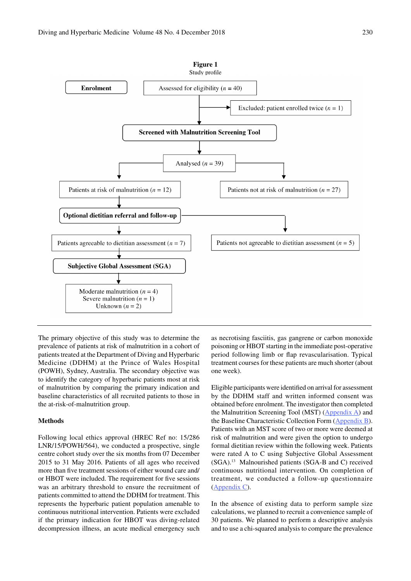

The primary objective of this study was to determine the prevalence of patients at risk of malnutrition in a cohort of patients treated at the Department of Diving and Hyperbaric Medicine (DDHM) at the Prince of Wales Hospital (POWH), Sydney, Australia. The secondary objective was to identify the category of hyperbaric patients most at risk of malnutrition by comparing the primary indication and baseline characteristics of all recruited patients to those in the at-risk-of-malnutrition group.

## **Methods**

Following local ethics approval (HREC Ref no: 15/286 LNR/15/POWH/564), we conducted a prospective, single centre cohort study over the six months from 07 December 2015 to 31 May 2016. Patients of all ages who received more than five treatment sessions of either wound care and/ or HBOT were included. The requirement for five sessions was an arbitrary threshold to ensure the recruitment of patients committed to attend the DDHM for treatment. This represents the hyperbaric patient population amenable to continuous nutritional intervention. Patients were excluded if the primary indication for HBOT was diving-related decompression illness, an acute medical emergency such as necrotising fasciitis, gas gangrene or carbon monoxide poisoning or HBOT starting in the immediate post-operative period following limb or flap revascularisation. Typical treatment courses for these patients are much shorter (about one week).

Eligible participants were identified on arrival for assessment by the DDHM staff and written informed consent was obtained before enrolment. The investigator then completed the Malnutrition Screening Tool (MST) (Appendix A) and the Baseline Characteristic Collection Form (Appendix B). Patients with an MST score of two or more were deemed at risk of malnutrition and were given the option to undergo formal dietitian review within the following week. Patients were rated A to C using Subjective Global Assessment (SGA).13 Malnourished patients (SGA-B and C) received continuous nutritional intervention. On completion of treatment, we conducted a follow-up questionnaire (Appendix C).

In the absence of existing data to perform sample size calculations, we planned to recruit a convenience sample of 30 patients. We planned to perform a descriptive analysis and to use a chi-squared analysis to compare the prevalence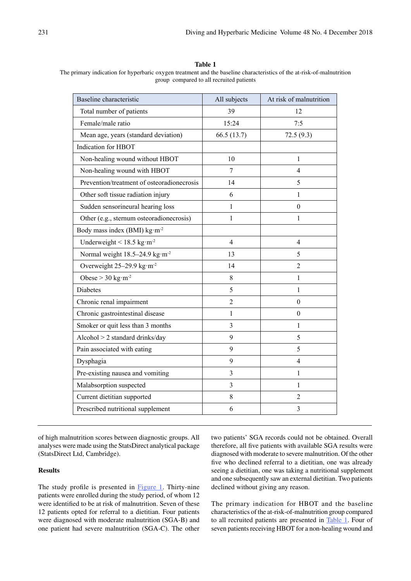**Table 1**

| The primary indication for hyperbaric oxygen treatment and the baseline characteristics of the at-risk-of-malnutrition |  |
|------------------------------------------------------------------------------------------------------------------------|--|
| group compared to all recruited patients                                                                               |  |

| Baseline characteristic                             | All subjects   | At risk of malnutrition |
|-----------------------------------------------------|----------------|-------------------------|
| Total number of patients                            | 39             | 12                      |
| Female/male ratio                                   | 15:24          | 7:5                     |
| Mean age, years (standard deviation)                | 66.5(13.7)     | 72.5(9.3)               |
| Indication for HBOT                                 |                |                         |
| Non-healing wound without HBOT                      | 10             | 1                       |
| Non-healing wound with HBOT                         | 7              | $\overline{4}$          |
| Prevention/treatment of osteoradionecrosis          | 14             | 5                       |
| Other soft tissue radiation injury                  | 6              | 1                       |
| Sudden sensorineural hearing loss                   | $\mathbf{1}$   | $\boldsymbol{0}$        |
| Other (e.g., sternum osteoradionecrosis)            | 1              | 1                       |
| Body mass index (BMI) kg·m <sup>-2</sup>            |                |                         |
| Underweight < $18.5 \text{ kg} \cdot \text{m}^{-2}$ | $\overline{4}$ | 4                       |
| Normal weight 18.5-24.9 kg·m <sup>-2</sup>          | 13             | 5                       |
| Overweight 25-29.9 kg·m <sup>-2</sup>               | 14             | $\overline{2}$          |
| Obese > $30 \text{ kg} \cdot \text{m}^{-2}$         | 8              | 1                       |
| Diabetes                                            | 5              | $\mathbf{1}$            |
| Chronic renal impairment                            | $\overline{2}$ | $\theta$                |
| Chronic gastrointestinal disease                    | 1              | $\theta$                |
| Smoker or quit less than 3 months                   | 3              | 1                       |
| Alcohol > 2 standard drinks/day                     | 9              | 5                       |
| Pain associated with eating                         | 9              | 5                       |
| Dysphagia                                           | 9              | $\overline{4}$          |
| Pre-existing nausea and vomiting                    | 3              | 1                       |
| Malabsorption suspected                             | 3              | 1                       |
| Current dietitian supported                         | 8              | $\overline{2}$          |
| Prescribed nutritional supplement                   | 6              | 3                       |
|                                                     |                |                         |

of high malnutrition scores between diagnostic groups. All analyses were made using the StatsDirect analytical package (StatsDirect Ltd, Cambridge).

## **Results**

The study profile is presented in **Figure 1**. Thirty-nine patients were enrolled during the study period, of whom 12 were identified to be at risk of malnutrition. Seven of these 12 patients opted for referral to a dietitian. Four patients were diagnosed with moderate malnutrition (SGA-B) and one patient had severe malnutrition (SGA-C). The other two patients' SGA records could not be obtained. Overall therefore, all five patients with available SGA results were diagnosed with moderate to severe malnutrition. Of the other five who declined referral to a dietitian, one was already seeing a dietitian, one was taking a nutritional supplement and one subsequently saw an external dietitian. Two patients declined without giving any reason.

The primary indication for HBOT and the baseline characteristics of the at-risk-of-malnutrition group compared to all recruited patients are presented in Table 1. Four of seven patients receiving HBOT for a non-healing wound and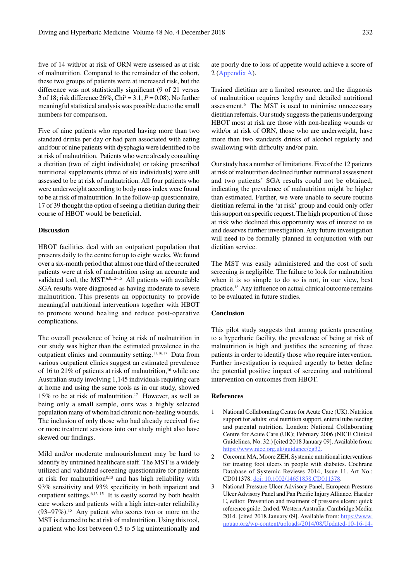five of 14 with/or at risk of ORN were assessed as at risk of malnutrition. Compared to the remainder of the cohort, these two groups of patients were at increased risk, but the difference was not statistically significant (9 of 21 versus 3 of 18; risk difference 26%, Chi2 = 3.1, *P* = 0.08). No further meaningful statistical analysis was possible due to the small numbers for comparison.

Five of nine patients who reported having more than two standard drinks per day or had pain associated with eating and four of nine patients with dysphagia were identified to be at risk of malnutrition. Patients who were already consulting a dietitian (two of eight individuals) or taking prescribed nutritional supplements (three of six individuals) were still assessed to be at risk of malnutrition. All four patients who were underweight according to body mass index were found to be at risk of malnutrition. In the follow-up questionnaire, 17 of 39 thought the option of seeing a dietitian during their course of HBOT would be beneficial.

### **Discussion**

HBOT facilities deal with an outpatient population that presents daily to the centre for up to eight weeks. We found over a six-month period that almost one third of the recruited patients were at risk of malnutrition using an accurate and validated tool, the MST.<sup>6,8,12-15</sup> All patients with available SGA results were diagnosed as having moderate to severe malnutrition. This presents an opportunity to provide meaningful nutritional interventions together with HBOT to promote wound healing and reduce post-operative complications.

The overall prevalence of being at risk of malnutrition in our study was higher than the estimated prevalence in the outpatient clinics and community setting.11,16,17 Data from various outpatient clinics suggest an estimated prevalence of 16 to 21% of patients at risk of malnutrition,<sup>16</sup> while one Australian study involving 1,145 individuals requiring care at home and using the same tools as in our study, showed 15% to be at risk of malnutrition.17 However, as well as being only a small sample, ours was a highly selected population many of whom had chronic non-healing wounds. The inclusion of only those who had already received five or more treatment sessions into our study might also have skewed our findings.

Mild and/or moderate malnourishment may be hard to identify by untrained healthcare staff. The MST is a widely utilized and validated screening questionnaire for patients at risk for malnutrition $8,13$  and has high reliability with 93% sensitivity and 93% specificity in both inpatient and outpatient settings.<sup>6,13–15</sup> It is easily scored by both health care workers and patients with a high inter-rater reliability (93−97%).15 Any patient who scores two or more on the MST is deemed to be at risk of malnutrition. Using this tool, a patient who lost between 0.5 to 5 kg unintentionally and ate poorly due to loss of appetite would achieve a score of 2 (Appendix A).

Trained dietitian are a limited resource, and the diagnosis of malnutrition requires lengthy and detailed nutritional assessment.6 The MST is used to minimise unnecessary dietitian referrals. Our study suggests the patients undergoing HBOT most at risk are those with non-healing wounds or with/or at risk of ORN, those who are underweight, have more than two standards drinks of alcohol regularly and swallowing with difficulty and/or pain.

Our study has a number of limitations. Five of the 12 patients at risk of malnutrition declined further nutritional assessment and two patients' SGA results could not be obtained, indicating the prevalence of malnutrition might be higher than estimated. Further, we were unable to secure routine dietitian referral in the 'at risk' group and could only offer this support on specific request. The high proportion of those at risk who declined this opportunity was of interest to us and deserves further investigation. Any future investigation will need to be formally planned in conjunction with our dietitian service.

The MST was easily administered and the cost of such screening is negligible. The failure to look for malnutrition when it is so simple to do so is not, in our view, best practice.18 Any influence on actual clinical outcome remains to be evaluated in future studies.

#### **Conclusion**

This pilot study suggests that among patients presenting to a hyperbaric facility, the prevalence of being at risk of malnutrition is high and justifies the screening of these patients in order to identify those who require intervention. Further investigation is required urgently to better define the potential positive impact of screening and nutritional intervention on outcomes from HBOT.

#### **References**

- 1 National Collaborating Centre for Acute Care (UK). Nutrition support for adults: oral nutrition support, enteral tube feeding and parental nutrition. London: National Collaborating Centre for Acute Care (UK); February 2006 (NICE Clinical Guidelines, No. 32.) [cited 2018 January 09]. Available from: https://www.nice.org.uk/guidance/cg32.
- 2 Corcoran MA, Moore ZEH. Systemic nutritional interventions for treating foot ulcers in people with diabetes. Cochrane Database of Systemic Reviews 2014, Issue 11. Art No.: CD011378. doi: 10.1002/14651858.CD011378.
- 3 National Pressure Ulcer Advisory Panel, European Pressure Ulcer Advisory Panel and Pan Pacific Injury Alliance. Haesler E, editor. Prevention and treatment of pressure ulcers: quick reference guide. 2nd ed. Western Australia: Cambridge Media; 2014. [cited 2018 January 09]. Available from: https://www. npuap.org/wp-content/uploads/2014/08/Updated-10-16-14-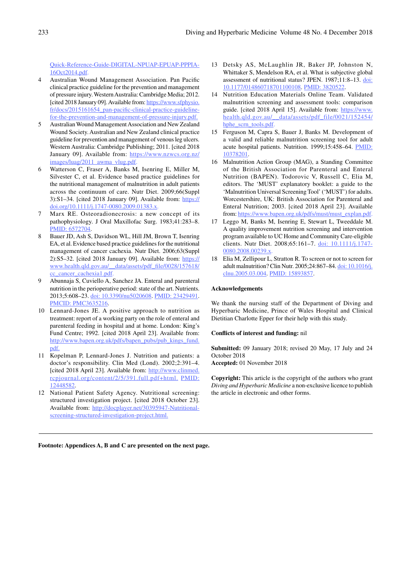Quick-Reference-Guide-DIGITAL-NPUAP-EPUAP-PPPIA-16Oct2014.pdf.

- 4 Australian Wound Management Association. Pan Pacific clinical practice guideline for the prevention and management of pressure injury. Western Australia: Cambridge Media; 2012. [cited 2018 January 09]. Available from: https://www.sfphysio. fr/docs/2015161654\_pan-pacific-clinical-practice-guidelinefor-the-prevention-and-management-of-pressure-injury.pdf.
- 5 Australian Wound Management Association and New Zealand Wound Society. Australian and New Zealand clinical practice guideline for prevention and management of venous leg ulcers. Western Australia: Cambridge Publishing; 2011. [cited 2018 January 09]. Available from: https://www.nzwcs.org.nz/ images/luag/2011\_awma\_vlug.pdf.
- 6 Watterson C, Fraser A, Banks M, Isenring E, Miller M, Silvester C, et al. Evidence based practice guidelines for the nutritional management of malnutrition in adult patients across the continuum of care. Nutr Diet. 2009;66(Suppl 3):S1–34. [cited 2018 January 09]. Available from: https:// doi.org/10.1111/j.1747-0080.2009.01383.x.
- 7 Marx RE. Osteoradionecrosis: a new concept of its pathophysiology. J Oral Maxillofac Surg. 1983;41:283–8. PMID: 6572704.
- 8 Bauer JD, Ash S, Davidson WL, Hill JM, Brown T, Isenring EA, et al. Evidence based practice guidelines for the nutritional management of cancer cachexia. Nutr Diet. 2006;63(Suppl 2):S5–32. [cited 2018 January 09]. Available from: https:// www.health.qld.gov.au/\_\_data/assets/pdf\_file/0028/157618/ cc\_cancer\_cachexia1.pdf.
- 9 Abunnaja S, Cuviello A, Sanchez JA. Enteral and parenteral nutrition in the perioperative period: state of the art. Nutrients. 2013;5:608–23. doi: 10.3390/nu5020608. PMID: 23429491. PMCID: PMC3635216.
- 10 Lennard-Jones JE. A positive approach to nutrition as treatment: report of a working party on the role of enteral and parenteral feeding in hospital and at home. London: King's Fund Centre; 1992. [cited 2018 April 23]. Available from: http://www.bapen.org.uk/pdfs/bapen\_pubs/pub\_kings\_fund. pdf.
- 11 Kopelman P, Lennard-Jones J. Nutrition and patients: a doctor's responsibility. Clin Med (Lond). 2002;2:391–4. [cited 2018 April 23]. Available from: http://www.clinmed. rcpjournal.org/content/2/5/391.full.pdf+html. PMID: 12448582.
- 12 National Patient Safety Agency. Nutritional screening: structured investigation project. [cited 2018 October 23]. Available from: http://docplayer.net/30395947-Nutritionalscreening-structured-investigation-project.html.
- 13 Detsky AS, McLaughlin JR, Baker JP, Johnston N, Whittaker S, Mendelson RA, et al. What is subjective global assessment of nutritional status? JPEN. 1987;11:8–13. doi: 10.1177/014860718701100108. PMID: 3820522.
- 14 Nutrition Education Materials Online Team. Validated malnutrition screening and assessment tools: comparison guide. [cited 2018 April 15]. Available from: https://www. health.qld.gov.au/\_\_data/assets/pdf\_file/0021/152454/ hphe\_scrn\_tools.pdf.
- 15 Ferguson M, Capra S, Bauer J, Banks M. Development of a valid and reliable malnutrition screening tool for adult acute hospital patients. Nutrition. 1999;15:458–64. PMID: 10378201.
- 16 Malnutrition Action Group (MAG), a Standing Committee of the British Association for Parenteral and Enteral Nutrition (BAPEN). Todorovic V, Russell C, Elia M, editors. The 'MUST' explanatory booklet: a guide to the 'Malnutrition Universal Screening Tool' ('MUST') for adults. Worcestershire, UK: British Association for Parenteral and Enteral Nutrition; 2003. [cited 2018 April 23]. Available from: https://www.bapen.org.uk/pdfs/must/must\_explan.pdf.
- 17 Leggo M, Banks M, Isenring E, Stewart L, Tweeddale M. A quality improvement nutrition screening and intervention program available to UC Home and Community Care-eligible clients. Nutr Diet. 2008;65:161–7. doi: 10.1111/j.1747- 0080.2008.00239.x.
- 18 Elia M, Zellipour L, Stratton R. To screen or not to screen for adult malnutrition? Clin Nutr. 2005;24:867–84. doi: 10.1016/j. clnu.2005.03.004. PMID: 15893857.

#### **Acknowledgements**

We thank the nursing staff of the Department of Diving and Hyperbaric Medicine, Prince of Wales Hospital and Clinical Dietitian Charlotte Epper for their help with this study.

#### **Conflicts of interest and funding:** nil

**Submitted:** 09 January 2018; revised 20 May, 17 July and 24 October 2018

**Accepted:** 01 November 2018

**Copyright:** This article is the copyright of the authors who grant *Diving and Hyperbaric Medicine* a non-exclusive licence to publish the article in electronic and other forms.

**Footnote: Appendices A, B and C are presented on the next page.**